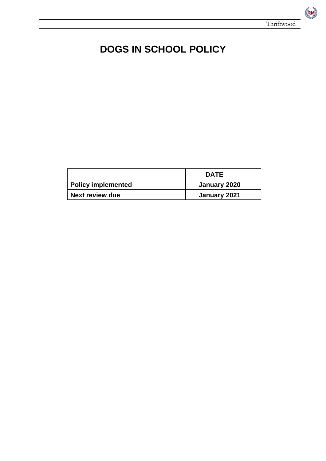Res

# **DOGS IN SCHOOL POLICY**

|                           | <b>DATE</b>  |
|---------------------------|--------------|
| <b>Policy implemented</b> | January 2020 |
| Next review due           | January 2021 |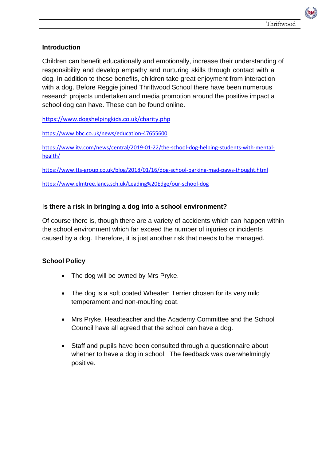# **Introduction**

Children can benefit educationally and emotionally, increase their understanding of responsibility and develop empathy and nurturing skills through contact with a dog. In addition to these benefits, children take great enjoyment from interaction with a dog. Before Reggie joined Thriftwood School there have been numerous research projects undertaken and media promotion around the positive impact a school dog can have. These can be found online.

<https://www.dogshelpingkids.co.uk/charity.php>

<https://www.bbc.co.uk/news/education-47655600>

[https://www.itv.com/news/central/2019-01-22/the-school-dog-helping-students-with-mental](https://www.itv.com/news/central/2019-01-22/the-school-dog-helping-students-with-mental-health/)[health/](https://www.itv.com/news/central/2019-01-22/the-school-dog-helping-students-with-mental-health/)

<https://www.tts-group.co.uk/blog/2018/01/16/dog-school-barking-mad-paws-thought.html>

<https://www.elmtree.lancs.sch.uk/Leading%20Edge/our-school-dog>

# I**s there a risk in bringing a dog into a school environment?**

Of course there is, though there are a variety of accidents which can happen within the school environment which far exceed the number of injuries or incidents caused by a dog. Therefore, it is just another risk that needs to be managed.

### **School Policy**

- The dog will be owned by Mrs Pryke.
- The dog is a soft coated Wheaten Terrier chosen for its very mild temperament and non-moulting coat.
- Mrs Pryke, Headteacher and the Academy Committee and the School Council have all agreed that the school can have a dog.
- Staff and pupils have been consulted through a questionnaire about whether to have a dog in school. The feedback was overwhelmingly positive.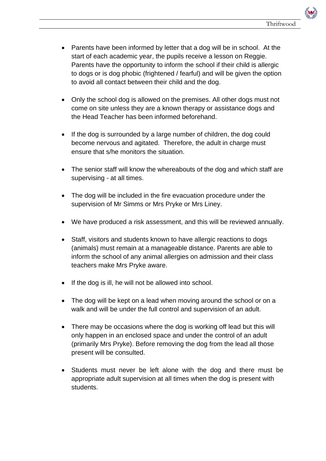- Parents have been informed by letter that a dog will be in school. At the start of each academic year, the pupils receive a lesson on Reggie. Parents have the opportunity to inform the school if their child is allergic to dogs or is dog phobic (frightened / fearful) and will be given the option to avoid all contact between their child and the dog.
- Only the school dog is allowed on the premises. All other dogs must not come on site unless they are a known therapy or assistance dogs and the Head Teacher has been informed beforehand.
- If the dog is surrounded by a large number of children, the dog could become nervous and agitated. Therefore, the adult in charge must ensure that s/he monitors the situation.
- The senior staff will know the whereabouts of the dog and which staff are supervising - at all times.
- The dog will be included in the fire evacuation procedure under the supervision of Mr Simms or Mrs Pryke or Mrs Liney.
- We have produced a risk assessment, and this will be reviewed annually.
- Staff, visitors and students known to have allergic reactions to dogs (animals) must remain at a manageable distance. Parents are able to inform the school of any animal allergies on admission and their class teachers make Mrs Pryke aware.
- If the dog is ill, he will not be allowed into school.
- The dog will be kept on a lead when moving around the school or on a walk and will be under the full control and supervision of an adult.
- There may be occasions where the dog is working off lead but this will only happen in an enclosed space and under the control of an adult (primarily Mrs Pryke). Before removing the dog from the lead all those present will be consulted.
- Students must never be left alone with the dog and there must be appropriate adult supervision at all times when the dog is present with students.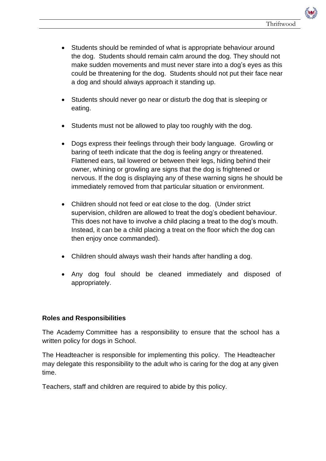- Students should be reminded of what is appropriate behaviour around the dog. Students should remain calm around the dog. They should not make sudden movements and must never stare into a dog's eyes as this could be threatening for the dog. Students should not put their face near a dog and should always approach it standing up.
- Students should never go near or disturb the dog that is sleeping or eating.
- Students must not be allowed to play too roughly with the dog.
- Dogs express their feelings through their body language. Growling or baring of teeth indicate that the dog is feeling angry or threatened. Flattened ears, tail lowered or between their legs, hiding behind their owner, whining or growling are signs that the dog is frightened or nervous. If the dog is displaying any of these warning signs he should be immediately removed from that particular situation or environment.
- Children should not feed or eat close to the dog. (Under strict supervision, children are allowed to treat the dog's obedient behaviour. This does not have to involve a child placing a treat to the dog's mouth. Instead, it can be a child placing a treat on the floor which the dog can then enjoy once commanded).
- Children should always wash their hands after handling a dog.
- Any dog foul should be cleaned immediately and disposed of appropriately.

### **Roles and Responsibilities**

The Academy Committee has a responsibility to ensure that the school has a written policy for dogs in School.

The Headteacher is responsible for implementing this policy. The Headteacher may delegate this responsibility to the adult who is caring for the dog at any given time.

Teachers, staff and children are required to abide by this policy.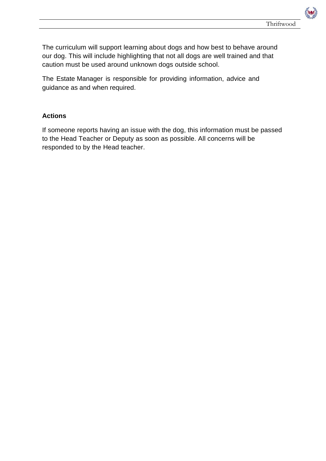The curriculum will support learning about dogs and how best to behave around our dog. This will include highlighting that not all dogs are well trained and that caution must be used around unknown dogs outside school.

The Estate Manager is responsible for providing information, advice and guidance as and when required.

### **Actions**

If someone reports having an issue with the dog, this information must be passed to the Head Teacher or Deputy as soon as possible. All concerns will be responded to by the Head teacher.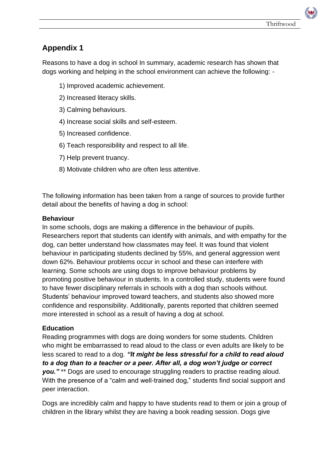# **Appendix 1**

Reasons to have a dog in school In summary, academic research has shown that dogs working and helping in the school environment can achieve the following: -

- 1) Improved academic achievement.
- 2) Increased literacy skills.
- 3) Calming behaviours.
- 4) Increase social skills and self-esteem.
- 5) Increased confidence.
- 6) Teach responsibility and respect to all life.
- 7) Help prevent truancy.
- 8) Motivate children who are often less attentive.

The following information has been taken from a range of sources to provide further detail about the benefits of having a dog in school:

### **Behaviour**

In some schools, dogs are making a difference in the behaviour of pupils. Researchers report that students can identify with animals, and with empathy for the dog, can better understand how classmates may feel. It was found that violent behaviour in participating students declined by 55%, and general aggression went down 62%. Behaviour problems occur in school and these can interfere with learning. Some schools are using dogs to improve behaviour problems by promoting positive behaviour in students. In a controlled study, students were found to have fewer disciplinary referrals in schools with a dog than schools without. Students' behaviour improved toward teachers, and students also showed more confidence and responsibility. Additionally, parents reported that children seemed more interested in school as a result of having a dog at school.

### **Education**

Reading programmes with dogs are doing wonders for some students. Children who might be embarrassed to read aloud to the class or even adults are likely to be less scared to read to a dog. *"It might be less stressful for a child to read aloud to a dog than to a teacher or a peer. After all, a dog won't judge or correct you."* \*\* Dogs are used to encourage struggling readers to practise reading aloud. With the presence of a "calm and well-trained dog," students find social support and peer interaction.

Dogs are incredibly calm and happy to have students read to them or join a group of children in the library whilst they are having a book reading session. Dogs give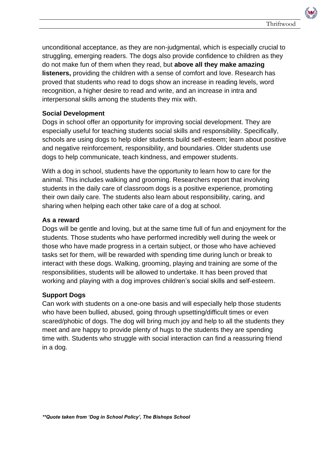unconditional acceptance, as they are non-judgmental, which is especially crucial to struggling, emerging readers. The dogs also provide confidence to children as they do not make fun of them when they read, but **above all they make amazing listeners,** providing the children with a sense of comfort and love. Research has proved that students who read to dogs show an increase in reading levels, word recognition, a higher desire to read and write, and an increase in intra and interpersonal skills among the students they mix with.

# **Social Development**

Dogs in school offer an opportunity for improving social development. They are especially useful for teaching students social skills and responsibility. Specifically, schools are using dogs to help older students build self-esteem; learn about positive and negative reinforcement, responsibility, and boundaries. Older students use dogs to help communicate, teach kindness, and empower students.

With a dog in school, students have the opportunity to learn how to care for the animal. This includes walking and grooming. Researchers report that involving students in the daily care of classroom dogs is a positive experience, promoting their own daily care. The students also learn about responsibility, caring, and sharing when helping each other take care of a dog at school.

# **As a reward**

Dogs will be gentle and loving, but at the same time full of fun and enjoyment for the students. Those students who have performed incredibly well during the week or those who have made progress in a certain subject, or those who have achieved tasks set for them, will be rewarded with spending time during lunch or break to interact with these dogs. Walking, grooming, playing and training are some of the responsibilities, students will be allowed to undertake. It has been proved that working and playing with a dog improves children's social skills and self-esteem.

# **Support Dogs**

Can work with students on a one-one basis and will especially help those students who have been bullied, abused, going through upsetting/difficult times or even scared/phobic of dogs. The dog will bring much joy and help to all the students they meet and are happy to provide plenty of hugs to the students they are spending time with. Students who struggle with social interaction can find a reassuring friend in a dog.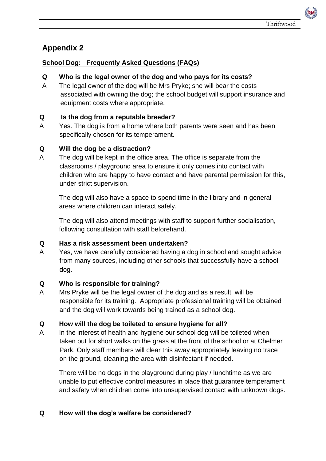# **Appendix 2**

# **School Dog: Frequently Asked Questions (FAQs)**

### **Q Who is the legal owner of the dog and who pays for its costs?**

A The legal owner of the dog will be Mrs Pryke; she will bear the costs associated with owning the dog; the school budget will support insurance and equipment costs where appropriate.

# **Q Is the dog from a reputable breeder?**

A Yes. The dog is from a home where both parents were seen and has been specifically chosen for its temperament.

# **Q Will the dog be a distraction?**

A The dog will be kept in the office area. The office is separate from the classrooms / playground area to ensure it only comes into contact with children who are happy to have contact and have parental permission for this, under strict supervision.

The dog will also have a space to spend time in the library and in general areas where children can interact safely.

The dog will also attend meetings with staff to support further socialisation, following consultation with staff beforehand.

### **Q Has a risk assessment been undertaken?**

A Yes, we have carefully considered having a dog in school and sought advice from many sources, including other schools that successfully have a school dog.

### **Q Who is responsible for training?**

A Mrs Pryke will be the legal owner of the dog and as a result, will be responsible for its training. Appropriate professional training will be obtained and the dog will work towards being trained as a school dog.

### **Q How will the dog be toileted to ensure hygiene for all?**

A In the interest of health and hygiene our school dog will be toileted when taken out for short walks on the grass at the front of the school or at Chelmer Park. Only staff members will clear this away appropriately leaving no trace on the ground, cleaning the area with disinfectant if needed.

There will be no dogs in the playground during play / lunchtime as we are unable to put effective control measures in place that guarantee temperament and safety when children come into unsupervised contact with unknown dogs.

### **Q How will the dog's welfare be considered?**